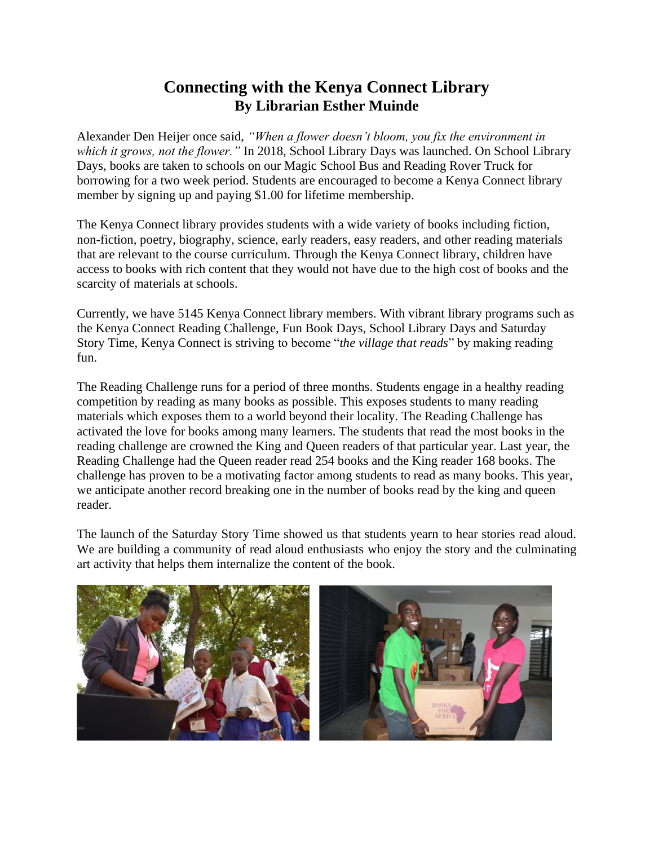## **Connecting with the Kenya Connect Library By Librarian Esther Muinde**

Alexander Den Heijer once said, *"When a flower doesn't bloom, you fix the environment in which it grows, not the flower."* In 2018, School Library Days was launched. On School Library Days, books are taken to schools on our Magic School Bus and Reading Rover Truck for borrowing for a two week period. Students are encouraged to become a Kenya Connect library member by signing up and paying \$1.00 for lifetime membership.

The Kenya Connect library provides students with a wide variety of books including fiction, non-fiction, poetry, biography, science, early readers, easy readers, and other reading materials that are relevant to the course curriculum. Through the Kenya Connect library, children have access to books with rich content that they would not have due to the high cost of books and the scarcity of materials at schools.

Currently, we have 5145 Kenya Connect library members. With vibrant library programs such as the Kenya Connect Reading Challenge, Fun Book Days, School Library Days and Saturday Story Time, Kenya Connect is striving to become "*the village that reads*" by making reading fun.

The Reading Challenge runs for a period of three months. Students engage in a healthy reading competition by reading as many books as possible. This exposes students to many reading materials which exposes them to a world beyond their locality. The Reading Challenge has activated the love for books among many learners. The students that read the most books in the reading challenge are crowned the King and Queen readers of that particular year. Last year, the Reading Challenge had the Queen reader read 254 books and the King reader 168 books. The challenge has proven to be a motivating factor among students to read as many books. This year, we anticipate another record breaking one in the number of books read by the king and queen reader.

The launch of the Saturday Story Time showed us that students yearn to hear stories read aloud. We are building a community of read aloud enthusiasts who enjoy the story and the culminating art activity that helps them internalize the content of the book.

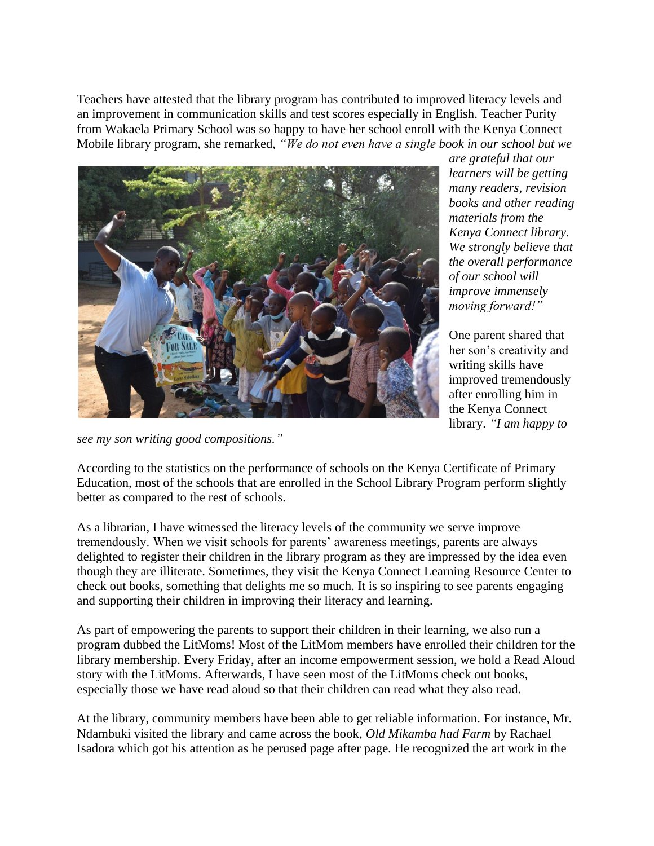Teachers have attested that the library program has contributed to improved literacy levels and an improvement in communication skills and test scores especially in English. Teacher Purity from Wakaela Primary School was so happy to have her school enroll with the Kenya Connect Mobile library program, she remarked, *"We do not even have a single book in our school but we* 



*are grateful that our learners will be getting many readers, revision books and other reading materials from the Kenya Connect library. We strongly believe that the overall performance of our school will improve immensely moving forward!"* 

One parent shared that her son's creativity and writing skills have improved tremendously after enrolling him in the Kenya Connect library. *"I am happy to* 

*see my son writing good compositions."*

According to the statistics on the performance of schools on the Kenya Certificate of Primary Education, most of the schools that are enrolled in the School Library Program perform slightly better as compared to the rest of schools.

As a librarian, I have witnessed the literacy levels of the community we serve improve tremendously. When we visit schools for parents' awareness meetings, parents are always delighted to register their children in the library program as they are impressed by the idea even though they are illiterate. Sometimes, they visit the Kenya Connect Learning Resource Center to check out books, something that delights me so much. It is so inspiring to see parents engaging and supporting their children in improving their literacy and learning.

As part of empowering the parents to support their children in their learning, we also run a program dubbed the LitMoms! Most of the LitMom members have enrolled their children for the library membership. Every Friday, after an income empowerment session, we hold a Read Aloud story with the LitMoms. Afterwards, I have seen most of the LitMoms check out books, especially those we have read aloud so that their children can read what they also read.

At the library, community members have been able to get reliable information. For instance, Mr. Ndambuki visited the library and came across the book, *Old Mikamba had Farm* by Rachael Isadora which got his attention as he perused page after page. He recognized the art work in the